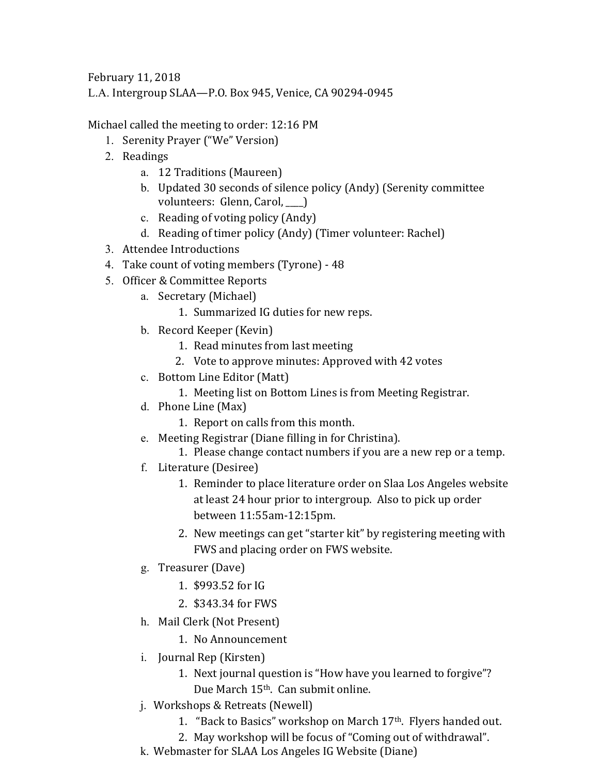February 11, 2018

L.A. Intergroup SLAA—P.O. Box 945, Venice, CA 90294-0945

Michael called the meeting to order: 12:16 PM

- 1. Serenity Prayer ("We" Version)
- 2. Readings
	- a. 12 Traditions (Maureen)
	- b. Updated 30 seconds of silence policy (Andy) (Serenity committee volunteers: Glenn, Carol, \_\_\_\_)
	- c. Reading of voting policy (Andy)
	- d. Reading of timer policy (Andy) (Timer volunteer: Rachel)
- 3. Attendee Introductions
- 4. Take count of voting members (Tyrone) 48
- 5. Officer & Committee Reports
	- a. Secretary (Michael)
		- 1. Summarized IG duties for new reps.
	- b. Record Keeper (Kevin)
		- 1. Read minutes from last meeting
		- 2. Vote to approve minutes: Approved with 42 votes
	- c. Bottom Line Editor (Matt)
		- 1. Meeting list on Bottom Lines is from Meeting Registrar.
	- d. Phone Line (Max)
		- 1. Report on calls from this month.
	- e. Meeting Registrar (Diane filling in for Christina).
		- 1. Please change contact numbers if you are a new rep or a temp.
	- f. Literature (Desiree)
		- 1. Reminder to place literature order on Slaa Los Angeles website at least 24 hour prior to intergroup. Also to pick up order between 11:55am‐12:15pm.
		- 2. New meetings can get "starter kit" by registering meeting with FWS and placing order on FWS website.
	- g. Treasurer (Dave)
		- 1. \$993.52 for IG
		- 2. \$343.34 for FWS
	- h. Mail Clerk (Not Present)
		- 1. No Announcement
	- i. Journal Rep (Kirsten)
		- 1. Next journal question is "How have you learned to forgive"? Due March 15<sup>th</sup>. Can submit online.
	- j. Workshops & Retreats (Newell)
		- 1. "Back to Basics" workshop on March 17<sup>th</sup>. Flyers handed out.
		- 2. May workshop will be focus of "Coming out of withdrawal".
	- k. Webmaster for SLAA Los Angeles IG Website (Diane)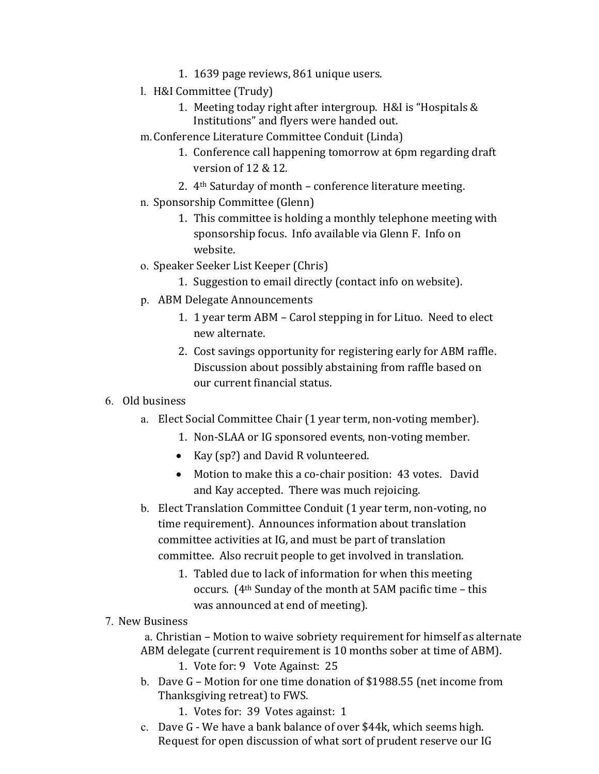- 1. 1639 page reviews, 861 unique users.
- l. H&I Committee (Trudy)
	- 1. Meeting today right after intergroup. H&I is "Hospitals & Institutions" and flyers were handed out.
- m. Conference Literature Committee Conduit (Linda)
	- 1. Conference call happening tomorrow at 6pm regarding draft version of  $12 \& 12$ .
	- 2.  $4<sup>th</sup>$  Saturday of month conference literature meeting.
- n. Sponsorship Committee (Glenn)
	- 1. This committee is holding a monthly telephone meeting with sponsorship focus. Info available via Glenn F. Info on website.
- o. Speaker Seeker List Keeper (Chris)
	- 1. Suggestion to email directly (contact info on website).
- p. ABM Delegate Announcements
	- 1. 1 year term ABM Carol stepping in for Lituo. Need to elect new alternate.
	- 2. Cost savings opportunity for registering early for ABM raffle. Discussion about possibly abstaining from raffle based on our current financial status.

## 6. Old business

- a. Elect Social Committee Chair (1 year term, non-voting member).
	- 1. Non-SLAA or IG sponsored events, non-voting member.
	- Kay (sp?) and David R volunteered.
	- Motion to make this a co-chair position: 43 votes. David and Kay accepted. There was much rejoicing.
- b. Elect Translation Committee Conduit (1 year term, non-voting, no time requirement). Announces information about translation committee activities at IG, and must be part of translation committee. Also recruit people to get involved in translation.
	- 1. Tabled due to lack of information for when this meeting occurs.  $(4<sup>th</sup>$  Sunday of the month at 5AM pacific time – this was announced at end of meeting).

## 7. New Business

a. Christian – Motion to waive sobriety requirement for himself as alternate ABM delegate (current requirement is 10 months sober at time of ABM).

- 1. Vote for: 9 Vote Against: 25
- b. Dave G Motion for one time donation of \$1988.55 (net income from Thanksgiving retreat) to FWS.
	- 1. Votes for: 39 Votes against: 1
- c. Dave G We have a bank balance of over \$44k, which seems high. Request for open discussion of what sort of prudent reserve our IG